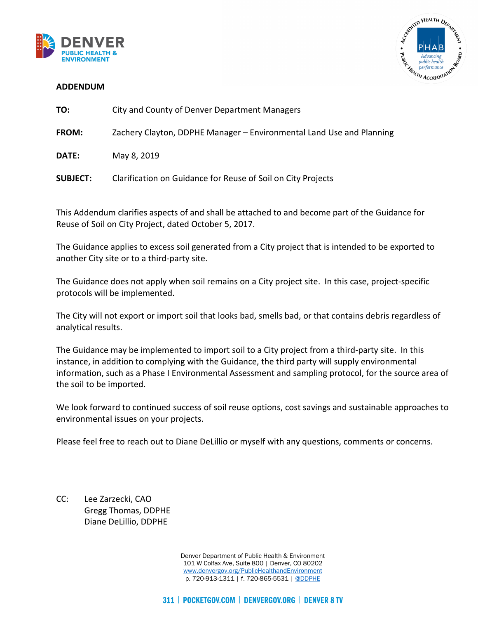



#### **ADDENDUM**

| TO:          | City and County of Denver Department Managers                        |  |
|--------------|----------------------------------------------------------------------|--|
| <b>FROM:</b> | Zachery Clayton, DDPHE Manager – Environmental Land Use and Planning |  |
| <b>DATE:</b> | May 8, 2019                                                          |  |

**SUBJECT:** Clarification on Guidance for Reuse of Soil on City Projects

This Addendum clarifies aspects of and shall be attached to and become part of the Guidance for Reuse of Soil on City Project, dated October 5, 2017.

The Guidance applies to excess soil generated from a City project that is intended to be exported to another City site or to a third-party site.

The Guidance does not apply when soil remains on a City project site. In this case, project-specific protocols will be implemented.

The City will not export or import soil that looks bad, smells bad, or that contains debris regardless of analytical results.

The Guidance may be implemented to import soil to a City project from a third-party site. In this instance, in addition to complying with the Guidance, the third party will supply environmental information, such as a Phase I Environmental Assessment and sampling protocol, for the source area of the soil to be imported.

We look forward to continued success of soil reuse options, cost savings and sustainable approaches to environmental issues on your projects.

Please feel free to reach out to Diane DeLillio or myself with any questions, comments or concerns.

CC: Lee Zarzecki, CAO Gregg Thomas, DDPHE Diane DeLillio, DDPHE

> Denver Department of Public Health & Environment 101 W Colfax Ave, Suite 800 | Denver, CO 80202 [www.denvergov.org/PublicHealthandEnvironment](http://www.denvergov.org/PublicHealthandEnvironment) p. 720-913-1311 | f. 720-865-5531 | [@DDPHE](http://www.twitter.com/DDPHE)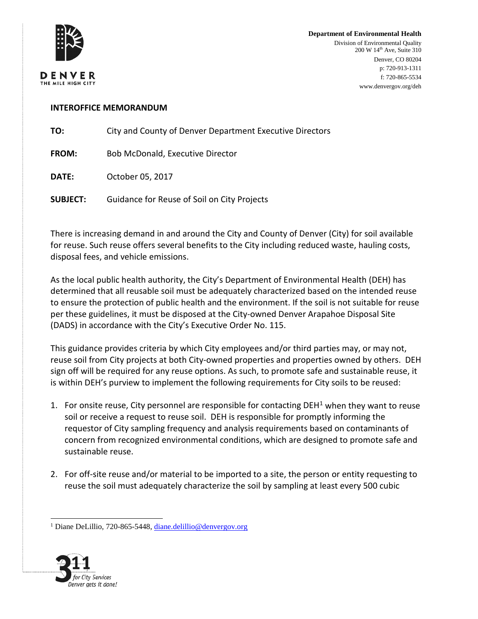

**Department of Environmental Health** Division of Environmental Quality 200 W 14th Ave, Suite 310 Denver, CO 80204 p: 720-913-1311 f: 720-865-5534 www.denvergov.org/deh

#### **INTEROFFICE MEMORANDUM**

**TO:** City and County of Denver Department Executive Directors

**FROM:** Bob McDonald, Executive Director

**DATE:** October 05, 2017

**SUBJECT:** Guidance for Reuse of Soil on City Projects

There is increasing demand in and around the City and County of Denver (City) for soil available for reuse. Such reuse offers several benefits to the City including reduced waste, hauling costs, disposal fees, and vehicle emissions.

As the local public health authority, the City's Department of Environmental Health (DEH) has determined that all reusable soil must be adequately characterized based on the intended reuse to ensure the protection of public health and the environment. If the soil is not suitable for reuse per these guidelines, it must be disposed at the City-owned Denver Arapahoe Disposal Site (DADS) in accordance with the City's Executive Order No. 115.

This guidance provides criteria by which City employees and/or third parties may, or may not, reuse soil from City projects at both City-owned properties and properties owned by others. DEH sign off will be required for any reuse options. As such, to promote safe and sustainable reuse, it is within DEH's purview to implement the following requirements for City soils to be reused:

- [1](#page-1-0). For onsite reuse, City personnel are responsible for contacting DEH<sup>1</sup> when they want to reuse soil or receive a request to reuse soil. DEH is responsible for promptly informing the requestor of City sampling frequency and analysis requirements based on contaminants of concern from recognized environmental conditions, which are designed to promote safe and sustainable reuse.
- 2. For off-site reuse and/or material to be imported to a site, the person or entity requesting to reuse the soil must adequately characterize the soil by sampling at least every 500 cubic

<span id="page-1-0"></span> <sup>1</sup> Diane DeLillio, 720-865-5448, [diane.delillio@denvergov.org](mailto:diane.delillio@denvergov.org)

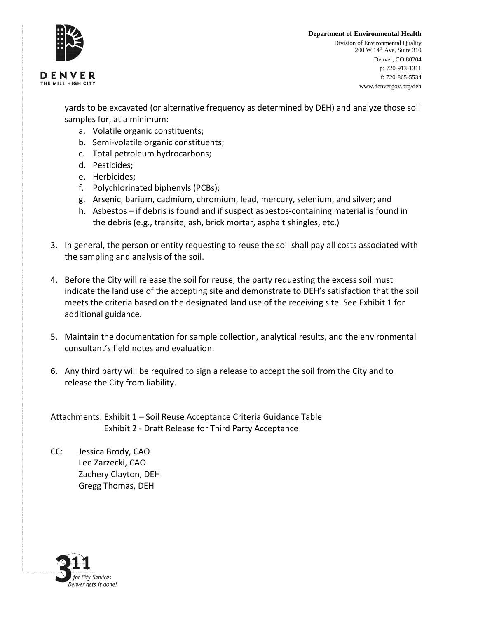

# **Department of Environmental Health**

DENVER THE MILE HIGH CITY

Division of Environmental Quality 200 W 14th Ave, Suite 310 Denver, CO 80204 p: 720-913-1311 f: 720-865-5534 www.denvergov.org/deh

yards to be excavated (or alternative frequency as determined by DEH) and analyze those soil samples for, at a minimum:

- a. Volatile organic constituents;
- b. Semi-volatile organic constituents;
- c. Total petroleum hydrocarbons;
- d. Pesticides;
- e. Herbicides;
- f. Polychlorinated biphenyls (PCBs);
- g. Arsenic, barium, cadmium, chromium, lead, mercury, selenium, and silver; and
- h. Asbestos if debris is found and if suspect asbestos-containing material is found in the debris (e.g., transite, ash, brick mortar, asphalt shingles, etc.)
- 3. In general, the person or entity requesting to reuse the soil shall pay all costs associated with the sampling and analysis of the soil.
- 4. Before the City will release the soil for reuse, the party requesting the excess soil must indicate the land use of the accepting site and demonstrate to DEH's satisfaction that the soil meets the criteria based on the designated land use of the receiving site. See Exhibit 1 for additional guidance.
- 5. Maintain the documentation for sample collection, analytical results, and the environmental consultant's field notes and evaluation.
- 6. Any third party will be required to sign a release to accept the soil from the City and to release the City from liability.

Attachments: Exhibit 1 – Soil Reuse Acceptance Criteria Guidance Table Exhibit 2 - Draft Release for Third Party Acceptance

CC: Jessica Brody, CAO Lee Zarzecki, CAO Zachery Clayton, DEH Gregg Thomas, DEH

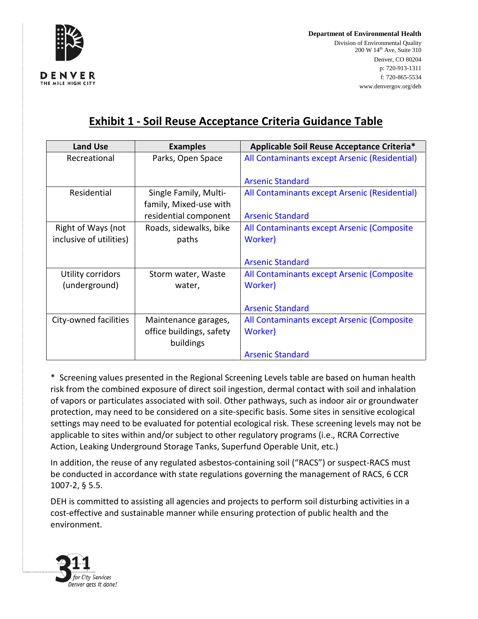

**Department of Environmental Health** Division of Environmental Quality 200 W 14th Ave, Suite 310 Denver, CO 80204 p: 720-913-1311 f: 720-865-5534 www.denvergov.org/deh

# **Exhibit 1 - Soil Reuse Acceptance Criteria Guidance Table**

| <b>Land Use</b>         | <b>Examples</b>          | Applicable Soil Reuse Acceptance Criteria*    |
|-------------------------|--------------------------|-----------------------------------------------|
| Recreational            | Parks, Open Space        | All Contaminants except Arsenic (Residential) |
|                         |                          |                                               |
|                         |                          | <b>Arsenic Standard</b>                       |
| Residential             | Single Family, Multi-    | All Contaminants except Arsenic (Residential) |
|                         | family, Mixed-use with   |                                               |
|                         | residential component    | <b>Arsenic Standard</b>                       |
| Right of Ways (not      | Roads, sidewalks, bike   | All Contaminants except Arsenic (Composite    |
| inclusive of utilities) | paths                    | Worker)                                       |
|                         |                          |                                               |
|                         |                          | <b>Arsenic Standard</b>                       |
| Utility corridors       | Storm water, Waste       | All Contaminants except Arsenic (Composite    |
| (underground)           | water,                   | Worker)                                       |
|                         |                          |                                               |
|                         |                          | <b>Arsenic Standard</b>                       |
| City-owned facilities   | Maintenance garages,     | All Contaminants except Arsenic (Composite    |
|                         | office buildings, safety | Worker)                                       |
|                         | buildings                |                                               |
|                         |                          | <b>Arsenic Standard</b>                       |

\* Screening values presented in the Regional Screening Levels table are based on human health risk from the combined exposure of direct soil ingestion, dermal contact with soil and inhalation of vapors or particulates associated with soil. Other pathways, such as indoor air or groundwater protection, may need to be considered on a site-specific basis. Some sites in sensitive ecological settings may need to be evaluated for potential ecological risk. These screening levels may not be applicable to sites within and/or subject to other regulatory programs (i.e., RCRA Corrective Action, Leaking Underground Storage Tanks, Superfund Operable Unit, etc.)

In addition, the reuse of any regulated asbestos-containing soil ("RACS") or suspect-RACS must be conducted in accordance with state regulations governing the management of RACS, 6 CCR 1007-2, § 5.5.

DEH is committed to assisting all agencies and projects to perform soil disturbing activities in a cost-effective and sustainable manner while ensuring protection of public health and the environment.

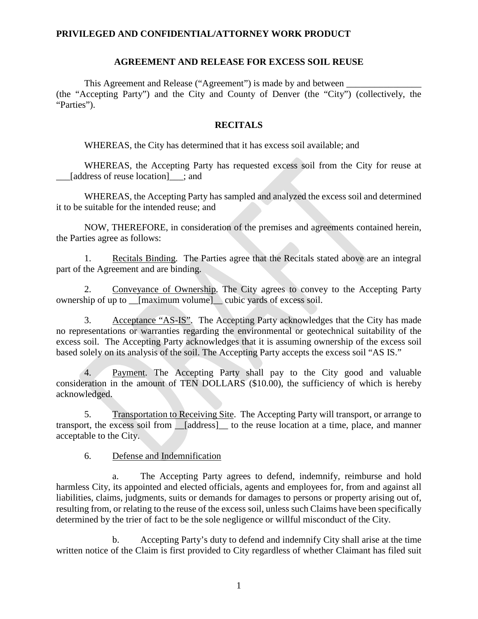#### **PRIVILEGED AND CONFIDENTIAL/ATTORNEY WORK PRODUCT**

#### **AGREEMENT AND RELEASE FOR EXCESS SOIL REUSE**

This Agreement and Release ("Agreement") is made by and between (the "Accepting Party") and the City and County of Denver (the "City") (collectively, the "Parties").

#### **RECITALS**

WHEREAS, the City has determined that it has excess soil available; and

WHEREAS, the Accepting Party has requested excess soil from the City for reuse at [address of reuse location] ; and

WHEREAS, the Accepting Party has sampled and analyzed the excess soil and determined it to be suitable for the intended reuse; and

NOW, THEREFORE, in consideration of the premises and agreements contained herein, the Parties agree as follows:

1. Recitals Binding. The Parties agree that the Recitals stated above are an integral part of the Agreement and are binding.

2. Conveyance of Ownership. The City agrees to convey to the Accepting Party ownership of up to \_\_[maximum volume]\_\_ cubic yards of excess soil.

3. Acceptance "AS-IS". The Accepting Party acknowledges that the City has made no representations or warranties regarding the environmental or geotechnical suitability of the excess soil. The Accepting Party acknowledges that it is assuming ownership of the excess soil based solely on its analysis of the soil. The Accepting Party accepts the excess soil "AS IS."

4. Payment. The Accepting Party shall pay to the City good and valuable consideration in the amount of TEN DOLLARS (\$10.00), the sufficiency of which is hereby acknowledged.

5. Transportation to Receiving Site. The Accepting Party will transport, or arrange to transport, the excess soil from \_\_[address]\_\_ to the reuse location at a time, place, and manner acceptable to the City.

6. Defense and Indemnification

The Accepting Party agrees to defend, indemnify, reimburse and hold harmless City, its appointed and elected officials, agents and employees for, from and against all liabilities, claims, judgments, suits or demands for damages to persons or property arising out of, resulting from, or relating to the reuse of the excess soil, unless such Claims have been specifically determined by the trier of fact to be the sole negligence or willful misconduct of the City.

b. Accepting Party's duty to defend and indemnify City shall arise at the time written notice of the Claim is first provided to City regardless of whether Claimant has filed suit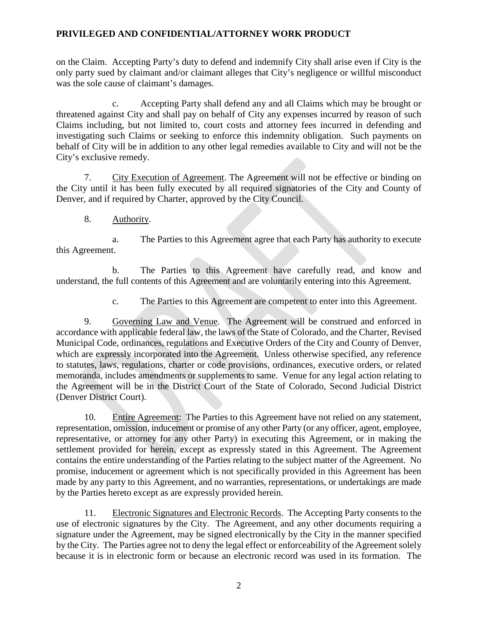### **PRIVILEGED AND CONFIDENTIAL/ATTORNEY WORK PRODUCT**

on the Claim. Accepting Party's duty to defend and indemnify City shall arise even if City is the only party sued by claimant and/or claimant alleges that City's negligence or willful misconduct was the sole cause of claimant's damages.

c. Accepting Party shall defend any and all Claims which may be brought or threatened against City and shall pay on behalf of City any expenses incurred by reason of such Claims including, but not limited to, court costs and attorney fees incurred in defending and investigating such Claims or seeking to enforce this indemnity obligation. Such payments on behalf of City will be in addition to any other legal remedies available to City and will not be the City's exclusive remedy.

7. City Execution of Agreement. The Agreement will not be effective or binding on the City until it has been fully executed by all required signatories of the City and County of Denver, and if required by Charter, approved by the City Council.

8. Authority.

a. The Parties to this Agreement agree that each Party has authority to execute this Agreement.

b. The Parties to this Agreement have carefully read, and know and understand, the full contents of this Agreement and are voluntarily entering into this Agreement.

c. The Parties to this Agreement are competent to enter into this Agreement.

9. Governing Law and Venue. The Agreement will be construed and enforced in accordance with applicable federal law, the laws of the State of Colorado, and the Charter, Revised Municipal Code, ordinances, regulations and Executive Orders of the City and County of Denver, which are expressly incorporated into the Agreement. Unless otherwise specified, any reference to statutes, laws, regulations, charter or code provisions, ordinances, executive orders, or related memoranda, includes amendments or supplements to same. Venue for any legal action relating to the Agreement will be in the District Court of the State of Colorado, Second Judicial District (Denver District Court).

10. Entire Agreement: The Parties to this Agreement have not relied on any statement, representation, omission, inducement or promise of any other Party (or any officer, agent, employee, representative, or attorney for any other Party) in executing this Agreement, or in making the settlement provided for herein, except as expressly stated in this Agreement. The Agreement contains the entire understanding of the Parties relating to the subject matter of the Agreement. No promise, inducement or agreement which is not specifically provided in this Agreement has been made by any party to this Agreement, and no warranties, representations, or undertakings are made by the Parties hereto except as are expressly provided herein.

11. Electronic Signatures and Electronic Records. The Accepting Party consents to the use of electronic signatures by the City. The Agreement, and any other documents requiring a signature under the Agreement, may be signed electronically by the City in the manner specified by the City. The Parties agree not to deny the legal effect or enforceability of the Agreement solely because it is in electronic form or because an electronic record was used in its formation. The